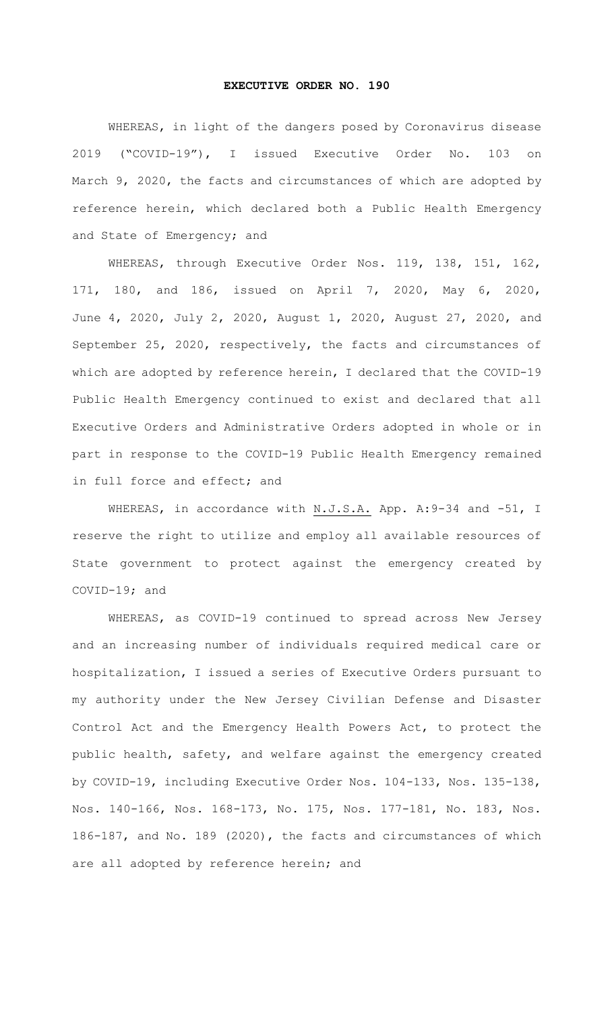## **EXECUTIVE ORDER NO. 190**

WHEREAS, in light of the dangers posed by Coronavirus disease 2019 ("COVID-19"), I issued Executive Order No. 103 on March 9, 2020, the facts and circumstances of which are adopted by reference herein, which declared both a Public Health Emergency and State of Emergency; and

WHEREAS, through Executive Order Nos. 119, 138, 151, 162, 171, 180, and 186, issued on April 7, 2020, May 6, 2020, June 4, 2020, July 2, 2020, August 1, 2020, August 27, 2020, and September 25, 2020, respectively, the facts and circumstances of which are adopted by reference herein, I declared that the COVID-19 Public Health Emergency continued to exist and declared that all Executive Orders and Administrative Orders adopted in whole or in part in response to the COVID-19 Public Health Emergency remained in full force and effect; and

WHEREAS, in accordance with N.J.S.A. App. A: 9-34 and -51, I reserve the right to utilize and employ all available resources of State government to protect against the emergency created by COVID-19; and

WHEREAS, as COVID-19 continued to spread across New Jersey and an increasing number of individuals required medical care or hospitalization, I issued a series of Executive Orders pursuant to my authority under the New Jersey Civilian Defense and Disaster Control Act and the Emergency Health Powers Act, to protect the public health, safety, and welfare against the emergency created by COVID-19, including Executive Order Nos. 104-133, Nos. 135-138, Nos. 140-166, Nos. 168-173, No. 175, Nos. 177-181, No. 183, Nos. 186-187, and No. 189 (2020), the facts and circumstances of which are all adopted by reference herein; and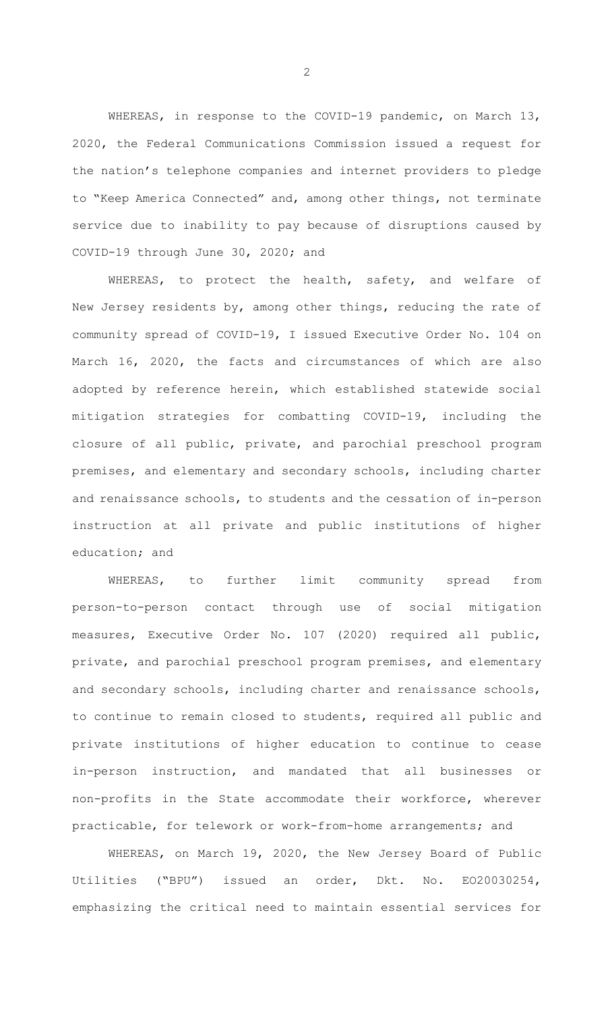WHEREAS, in response to the COVID-19 pandemic, on March 13, 2020, the Federal Communications Commission issued a request for the nation's telephone companies and internet providers to pledge to "Keep America Connected" and, among other things, not terminate service due to inability to pay because of disruptions caused by COVID-19 through June 30, 2020; and

WHEREAS, to protect the health, safety, and welfare of New Jersey residents by, among other things, reducing the rate of community spread of COVID-19, I issued Executive Order No. 104 on March 16, 2020, the facts and circumstances of which are also adopted by reference herein, which established statewide social mitigation strategies for combatting COVID-19, including the closure of all public, private, and parochial preschool program premises, and elementary and secondary schools, including charter and renaissance schools, to students and the cessation of in-person instruction at all private and public institutions of higher education; and

WHEREAS, to further limit community spread from person-to-person contact through use of social mitigation measures, Executive Order No. 107 (2020) required all public, private, and parochial preschool program premises, and elementary and secondary schools, including charter and renaissance schools, to continue to remain closed to students, required all public and private institutions of higher education to continue to cease in-person instruction, and mandated that all businesses or non-profits in the State accommodate their workforce, wherever practicable, for telework or work-from-home arrangements; and

WHEREAS, on March 19, 2020, the New Jersey Board of Public Utilities ("BPU") issued an order, Dkt. No. EO20030254, emphasizing the critical need to maintain essential services for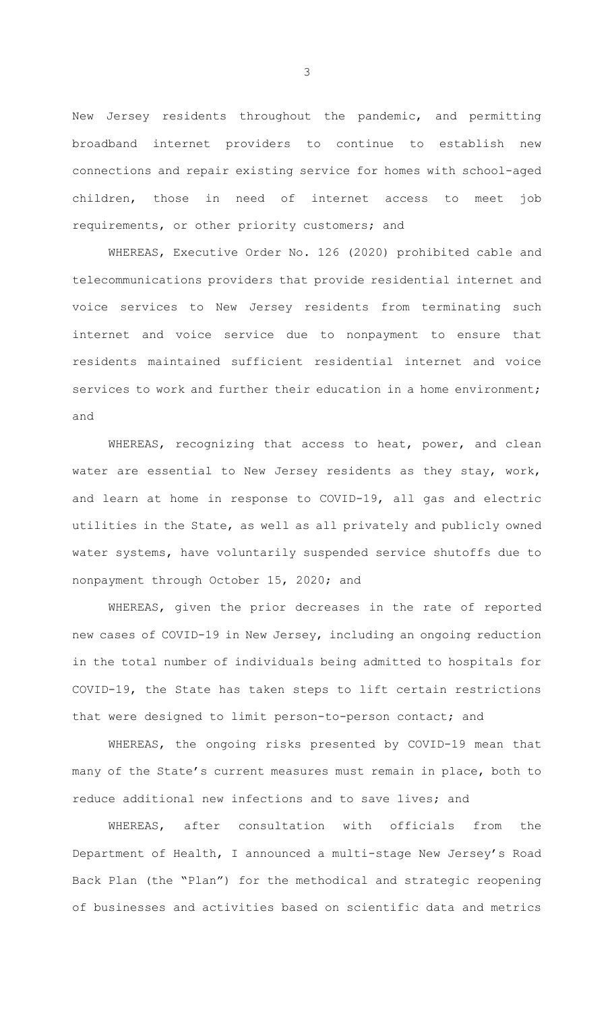New Jersey residents throughout the pandemic, and permitting broadband internet providers to continue to establish new connections and repair existing service for homes with school-aged children, those in need of internet access to meet job requirements, or other priority customers; and

WHEREAS, Executive Order No. 126 (2020) prohibited cable and telecommunications providers that provide residential internet and voice services to New Jersey residents from terminating such internet and voice service due to nonpayment to ensure that residents maintained sufficient residential internet and voice services to work and further their education in a home environment; and

WHEREAS, recognizing that access to heat, power, and clean water are essential to New Jersey residents as they stay, work, and learn at home in response to COVID-19, all gas and electric utilities in the State, as well as all privately and publicly owned water systems, have voluntarily suspended service shutoffs due to nonpayment through October 15, 2020; and

WHEREAS, given the prior decreases in the rate of reported new cases of COVID-19 in New Jersey, including an ongoing reduction in the total number of individuals being admitted to hospitals for COVID-19, the State has taken steps to lift certain restrictions that were designed to limit person-to-person contact; and

WHEREAS, the ongoing risks presented by COVID-19 mean that many of the State's current measures must remain in place, both to reduce additional new infections and to save lives; and

WHEREAS, after consultation with officials from the Department of Health, I announced a multi-stage New Jersey's Road Back Plan (the "Plan") for the methodical and strategic reopening of businesses and activities based on scientific data and metrics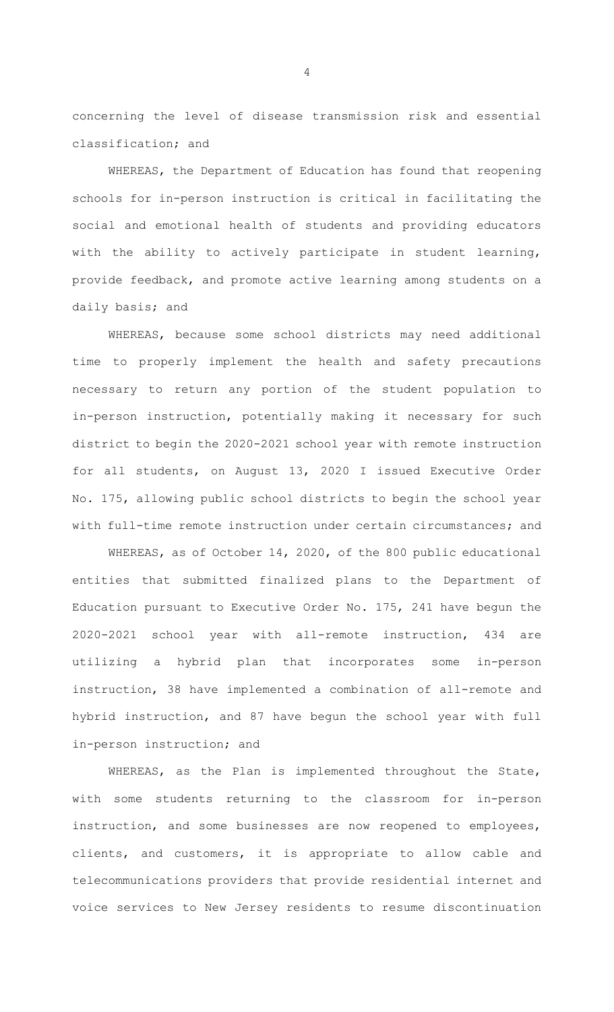concerning the level of disease transmission risk and essential classification; and

WHEREAS, the Department of Education has found that reopening schools for in-person instruction is critical in facilitating the social and emotional health of students and providing educators with the ability to actively participate in student learning, provide feedback, and promote active learning among students on a daily basis; and

WHEREAS, because some school districts may need additional time to properly implement the health and safety precautions necessary to return any portion of the student population to in-person instruction, potentially making it necessary for such district to begin the 2020-2021 school year with remote instruction for all students, on August 13, 2020 I issued Executive Order No. 175, allowing public school districts to begin the school year with full-time remote instruction under certain circumstances; and

WHEREAS, as of October 14, 2020, of the 800 public educational entities that submitted finalized plans to the Department of Education pursuant to Executive Order No. 175, 241 have begun the 2020-2021 school year with all-remote instruction, 434 are utilizing a hybrid plan that incorporates some in-person instruction, 38 have implemented a combination of all-remote and hybrid instruction, and 87 have begun the school year with full in-person instruction; and

WHEREAS, as the Plan is implemented throughout the State, with some students returning to the classroom for in-person instruction, and some businesses are now reopened to employees, clients, and customers, it is appropriate to allow cable and telecommunications providers that provide residential internet and voice services to New Jersey residents to resume discontinuation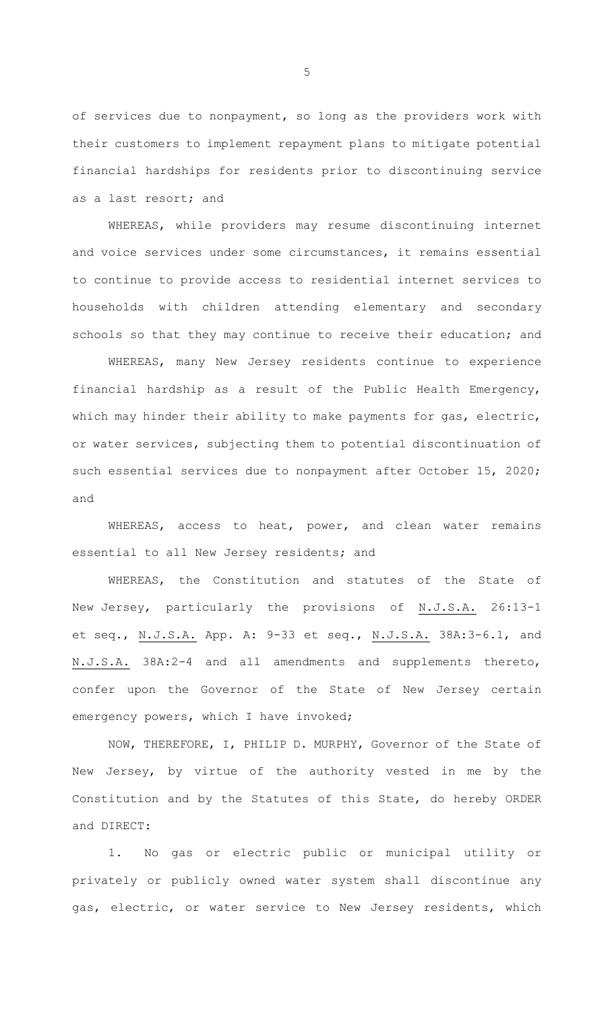of services due to nonpayment, so long as the providers work with their customers to implement repayment plans to mitigate potential financial hardships for residents prior to discontinuing service as a last resort; and

WHEREAS, while providers may resume discontinuing internet and voice services under some circumstances, it remains essential to continue to provide access to residential internet services to households with children attending elementary and secondary schools so that they may continue to receive their education; and

WHEREAS, many New Jersey residents continue to experience financial hardship as a result of the Public Health Emergency, which may hinder their ability to make payments for gas, electric, or water services, subjecting them to potential discontinuation of such essential services due to nonpayment after October 15, 2020; and

WHEREAS, access to heat, power, and clean water remains essential to all New Jersey residents; and

WHEREAS, the Constitution and statutes of the State of New Jersey, particularly the provisions of N.J.S.A. 26:13-1 et seq., N.J.S.A. App. A: 9-33 et seq., N.J.S.A. 38A:3-6.1, and N.J.S.A. 38A:2-4 and all amendments and supplements thereto, confer upon the Governor of the State of New Jersey certain emergency powers, which I have invoked;

NOW, THEREFORE, I, PHILIP D. MURPHY, Governor of the State of New Jersey, by virtue of the authority vested in me by the Constitution and by the Statutes of this State, do hereby ORDER and DIRECT:

1. No gas or electric public or municipal utility or privately or publicly owned water system shall discontinue any gas, electric, or water service to New Jersey residents, which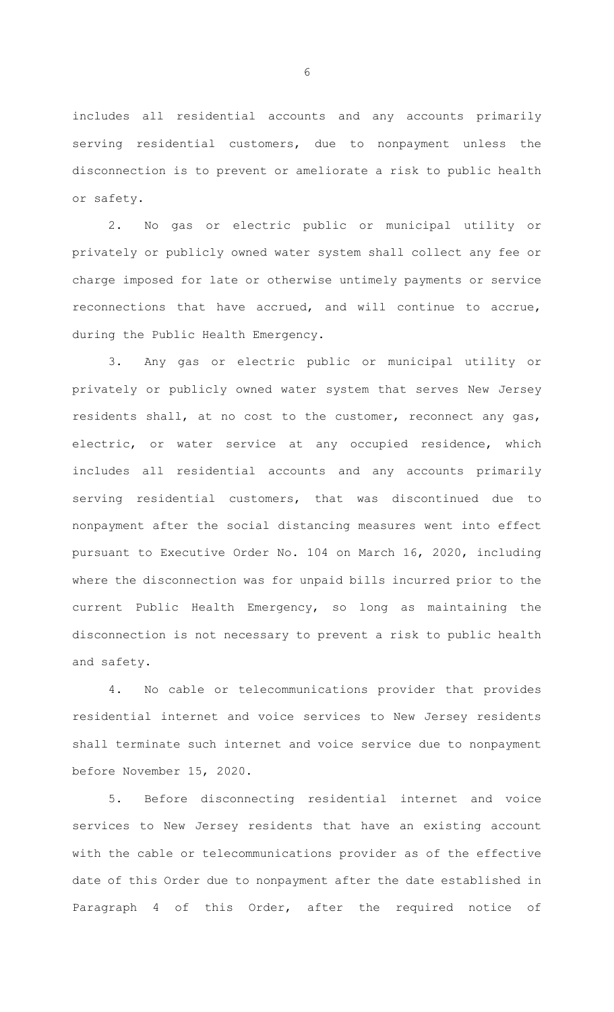includes all residential accounts and any accounts primarily serving residential customers, due to nonpayment unless the disconnection is to prevent or ameliorate a risk to public health or safety.

2. No gas or electric public or municipal utility or privately or publicly owned water system shall collect any fee or charge imposed for late or otherwise untimely payments or service reconnections that have accrued, and will continue to accrue, during the Public Health Emergency.

3. Any gas or electric public or municipal utility or privately or publicly owned water system that serves New Jersey residents shall, at no cost to the customer, reconnect any gas, electric, or water service at any occupied residence, which includes all residential accounts and any accounts primarily serving residential customers, that was discontinued due to nonpayment after the social distancing measures went into effect pursuant to Executive Order No. 104 on March 16, 2020, including where the disconnection was for unpaid bills incurred prior to the current Public Health Emergency, so long as maintaining the disconnection is not necessary to prevent a risk to public health and safety.

4. No cable or telecommunications provider that provides residential internet and voice services to New Jersey residents shall terminate such internet and voice service due to nonpayment before November 15, 2020.

5. Before disconnecting residential internet and voice services to New Jersey residents that have an existing account with the cable or telecommunications provider as of the effective date of this Order due to nonpayment after the date established in Paragraph 4 of this Order, after the required notice of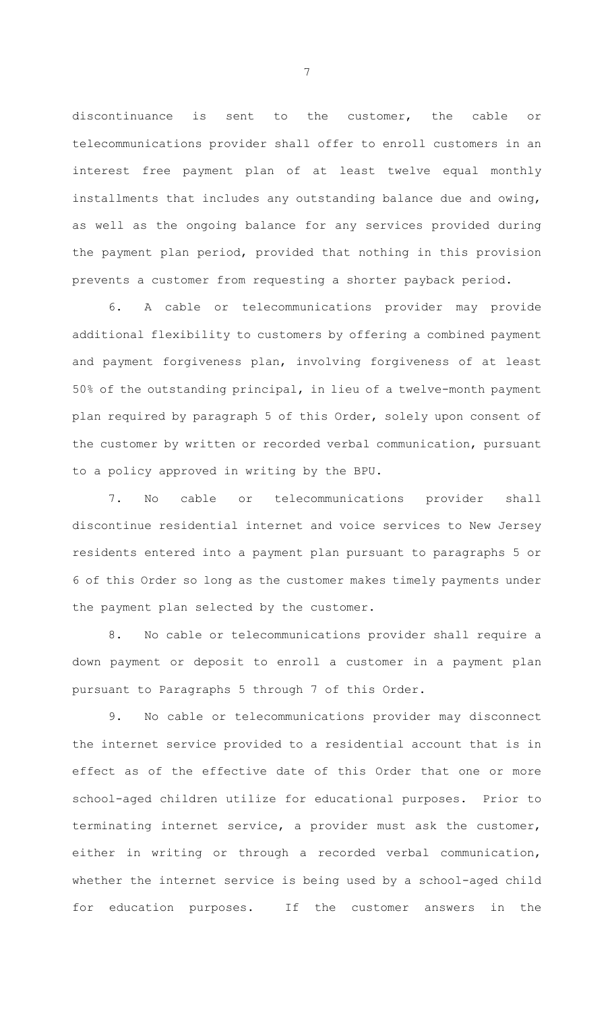discontinuance is sent to the customer, the cable or telecommunications provider shall offer to enroll customers in an interest free payment plan of at least twelve equal monthly installments that includes any outstanding balance due and owing, as well as the ongoing balance for any services provided during the payment plan period, provided that nothing in this provision prevents a customer from requesting a shorter payback period.

6. A cable or telecommunications provider may provide additional flexibility to customers by offering a combined payment and payment forgiveness plan, involving forgiveness of at least 50% of the outstanding principal, in lieu of a twelve-month payment plan required by paragraph 5 of this Order, solely upon consent of the customer by written or recorded verbal communication, pursuant to a policy approved in writing by the BPU.

7. No cable or telecommunications provider shall discontinue residential internet and voice services to New Jersey residents entered into a payment plan pursuant to paragraphs 5 or 6 of this Order so long as the customer makes timely payments under the payment plan selected by the customer.

8. No cable or telecommunications provider shall require a down payment or deposit to enroll a customer in a payment plan pursuant to Paragraphs 5 through 7 of this Order.

9. No cable or telecommunications provider may disconnect the internet service provided to a residential account that is in effect as of the effective date of this Order that one or more school-aged children utilize for educational purposes. Prior to terminating internet service, a provider must ask the customer, either in writing or through a recorded verbal communication, whether the internet service is being used by a school-aged child for education purposes. If the customer answers in the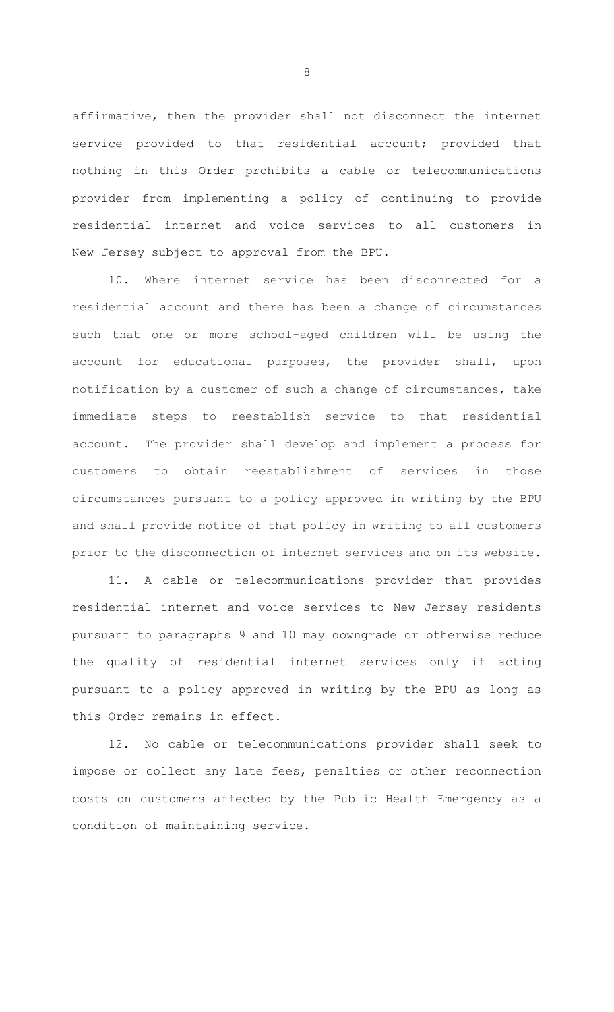affirmative, then the provider shall not disconnect the internet service provided to that residential account; provided that nothing in this Order prohibits a cable or telecommunications provider from implementing a policy of continuing to provide residential internet and voice services to all customers in New Jersey subject to approval from the BPU.

10. Where internet service has been disconnected for a residential account and there has been a change of circumstances such that one or more school-aged children will be using the account for educational purposes, the provider shall, upon notification by a customer of such a change of circumstances, take immediate steps to reestablish service to that residential account. The provider shall develop and implement a process for customers to obtain reestablishment of services in those circumstances pursuant to a policy approved in writing by the BPU and shall provide notice of that policy in writing to all customers prior to the disconnection of internet services and on its website.

11. A cable or telecommunications provider that provides residential internet and voice services to New Jersey residents pursuant to paragraphs 9 and 10 may downgrade or otherwise reduce the quality of residential internet services only if acting pursuant to a policy approved in writing by the BPU as long as this Order remains in effect.

12. No cable or telecommunications provider shall seek to impose or collect any late fees, penalties or other reconnection costs on customers affected by the Public Health Emergency as a condition of maintaining service.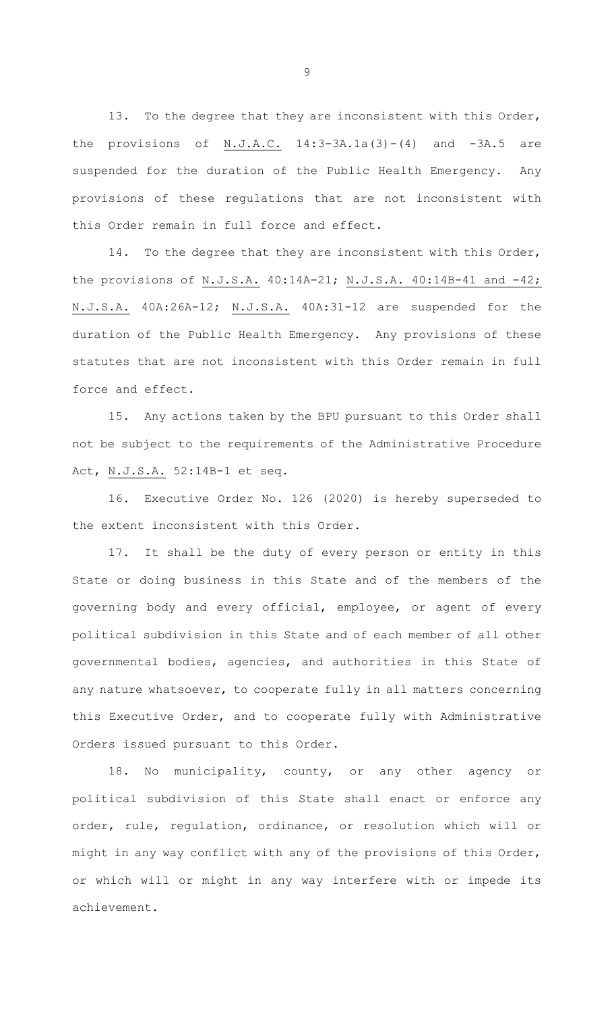13. To the degree that they are inconsistent with this Order, the provisions of  $N.J.A.C.$  14:3-3A.1a(3)-(4) and -3A.5 are suspended for the duration of the Public Health Emergency. Any provisions of these regulations that are not inconsistent with this Order remain in full force and effect.

14. To the degree that they are inconsistent with this Order, the provisions of N.J.S.A. 40:14A-21; N.J.S.A. 40:14B-41 and -42; N.J.S.A. 40A:26A-12; N.J.S.A. 40A:31-12 are suspended for the duration of the Public Health Emergency. Any provisions of these statutes that are not inconsistent with this Order remain in full force and effect.

15. Any actions taken by the BPU pursuant to this Order shall not be subject to the requirements of the Administrative Procedure Act, N.J.S.A. 52:14B-1 et seq.

16. Executive Order No. 126 (2020) is hereby superseded to the extent inconsistent with this Order.

17. It shall be the duty of every person or entity in this State or doing business in this State and of the members of the governing body and every official, employee, or agent of every political subdivision in this State and of each member of all other governmental bodies, agencies, and authorities in this State of any nature whatsoever, to cooperate fully in all matters concerning this Executive Order, and to cooperate fully with Administrative Orders issued pursuant to this Order.

18. No municipality, county, or any other agency or political subdivision of this State shall enact or enforce any order, rule, regulation, ordinance, or resolution which will or might in any way conflict with any of the provisions of this Order, or which will or might in any way interfere with or impede its achievement.